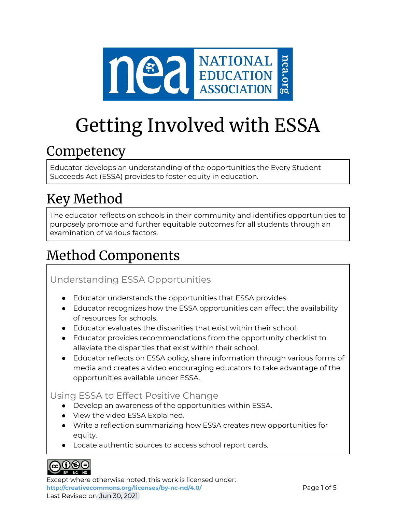

# Getting Involved with ESSA

## **Competency**

Educator develops an understanding of the opportunities the Every Student Succeeds Act (ESSA) provides to foster equity in education.

# Key Method

The educator reflects on schools in their community and identifies opportunities to purposely promote and further equitable outcomes for all students through an examination of various factors.

# Method Components

### Understanding ESSA Opportunities

- Educator understands the opportunities that ESSA provides.
- Educator recognizes how the ESSA opportunities can affect the availability of resources for schools.
- Educator evaluates the disparities that exist within their school.
- Educator provides recommendations from the opportunity checklist to alleviate the disparities that exist within their school.
- Educator reflects on ESSA policy, share information through various forms of media and creates a video encouraging educators to take advantage of the opportunities available under ESSA.

### Using ESSA to Effect Positive Change

- Develop an awareness of the opportunities within ESSA.
- View the video ESSA Explained.
- Write a reflection summarizing how ESSA creates new opportunities for equity.
- Locate authentic sources to access school report cards.



Except where otherwise noted, this work is licensed under: <http://creativecommons.org/licenses/by-nc-nd/4.0/> **Page 1 of 5** Last Revised on Jun 30, 2021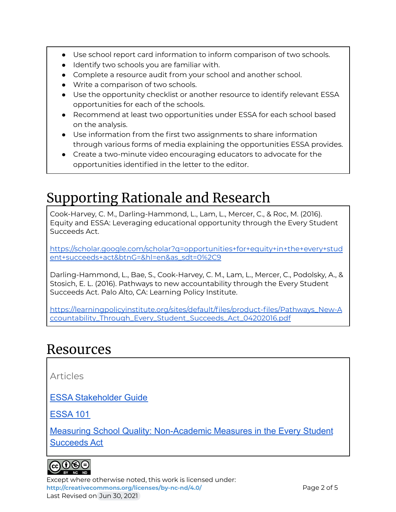- Use school report card information to inform comparison of two schools.
- Identify two schools you are familiar with.
- Complete a resource audit from your school and another school.
- Write a comparison of two schools.
- Use the opportunity checklist or another resource to identify relevant ESSA opportunities for each of the schools.
- Recommend at least two opportunities under ESSA for each school based on the analysis.
- Use information from the first two assignments to share information through various forms of media explaining the opportunities ESSA provides.
- Create a two-minute video encouraging educators to advocate for the opportunities identified in the letter to the editor.

# Supporting Rationale and Research

Cook-Harvey, C. M., Darling-Hammond, L., Lam, L., Mercer, C., & Roc, M. (2016). Equity and ESSA: Leveraging educational opportunity through the Every Student Succeeds Act.

[https://scholar.google.com/scholar?q=opportunities+for+equity+in+the+every+stud](https://scholar.google.com/scholar?q=opportunities+for+equity+in+the+every+student+succeeds+act&btnG=&hl=en&as_sdt=0%2C9) [ent+succeeds+act&btnG=&hl=en&as\\_sdt=0%2C9](https://scholar.google.com/scholar?q=opportunities+for+equity+in+the+every+student+succeeds+act&btnG=&hl=en&as_sdt=0%2C9)

Darling-Hammond, L., Bae, S., Cook-Harvey, C. M., Lam, L., Mercer, C., Podolsky, A., & Stosich, E. L. (2016). Pathways to new accountability through the Every Student Succeeds Act. Palo Alto, CA: Learning Policy Institute.

[https://learningpolicyinstitute.org/sites/default/files/product-files/Pathways\\_New-A](https://learningpolicyinstitute.org/sites/default/files/product-files/Pathways_New-Accountability_Through_Every_Student_Succeeds_Act_04202016.pdf) [ccountability\\_Through\\_Every\\_Student\\_Succeeds\\_Act\\_04202016.pdf](https://learningpolicyinstitute.org/sites/default/files/product-files/Pathways_New-Accountability_Through_Every_Student_Succeeds_Act_04202016.pdf)

### Resources

Articles

[ESSA Stakeholder Guide](http://www.parentcenterhub.org/stakeholder-guide-essa/#stakeholder)

[ESSA 101](http://myschoolmyvoice.nea.org/essa-101/)

[Measuring School Quality: Non-Academic Measures in](https://docs.google.com/document/d/0B_ul3N_y73yFVXd6WWxjem5uZjg/edit?resourcekey=0-vC4ACfzQ3zQ5ZgLxHZcJjw) the Every Student [Succeeds Act](https://docs.google.com/document/d/0B_ul3N_y73yFVXd6WWxjem5uZjg/edit?resourcekey=0-vC4ACfzQ3zQ5ZgLxHZcJjw)



Except where otherwise noted, this work is licensed under: <http://creativecommons.org/licenses/by-nc-nd/4.0/> **Page 2 of 5** Last Revised on Jun 30, 2021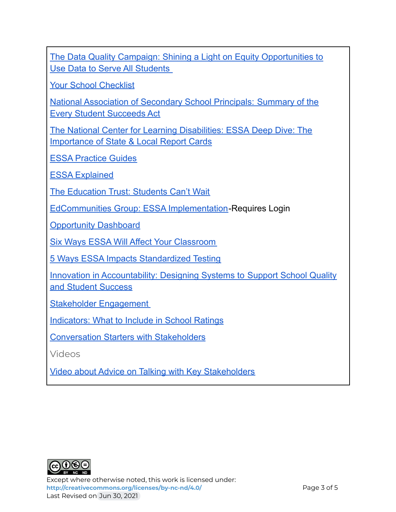[The Data Quality Campaign: Shining a Light on Equity Opportunities to](https://drive.google.com/file/d/0B_ul3N_y73yFX0JkT1hNeVVBdDg/view?usp=sharing&resourcekey=0-sLZ6Avy6yExuh7WFQZNELg) [Use Data to Serve All Students](https://drive.google.com/file/d/0B_ul3N_y73yFX0JkT1hNeVVBdDg/view?usp=sharing&resourcekey=0-sLZ6Avy6yExuh7WFQZNELg)

[Your School Checklist](http://pages.email.nea.org/your-school-checklist/?_ga=2.261649354.697297351.1625423452-452654973.1625423452)

[National Association of Secondary School Principals:](https://www.nassp.org/every-student-succeeds-act-essa/) Summary of the [Every Student Succeeds Act](https://www.nassp.org/every-student-succeeds-act-essa/)

[The National Center for Learning Disabilities: ESSA](https://drive.google.com/file/d/0B_ul3N_y73yFX0JkT1hNeVVBdDg/view?usp=sharing&resourcekey=0-sLZ6Avy6yExuh7WFQZNELg) Deep Dive: The [Importance of State & Local Report Cards](https://drive.google.com/file/d/0B_ul3N_y73yFX0JkT1hNeVVBdDg/view?usp=sharing&resourcekey=0-sLZ6Avy6yExuh7WFQZNELg)

[ESSA Practice Guides](https://www.nea.org/resource-library/essa-advocacy-action-handbook-and-practice-guides)

[ESSA Explained](https://www.youtube.com/watch?v=zWQGmU-J80Q)

[The Education Trust: Students Can't Wait](https://studentscantwait.org/)

[EdCommunities Group: ESSA Implementation](https://www.mynea360.org/_ui/core/chatter/groups/GroupProfilePage?g=0F9600000000JYE)-Requires Login

**[Opportunity Dashboard](https://www.nea.org/resource-library/opportunity-dashboard-indicators-essa)** 

[Six Ways ESSA Will Affect Your Classroom](https://e4e.org/blog-news/blog/six-ways-essa-will-affect-your-classroom)

[5 Ways ESSA Impacts Standardized Testing](https://www.edutopia.org/blog/5-ways-essa-impacts-standardized-testing-anne-obrien)

[Innovation in Accountability: Designing Systems to](https://docs.google.com/document/d/0B_ul3N_y73yFa1B2RVlGZXFrNkk/edit?resourcekey=0-OhCS2j-UHh8I9vJW4OAweQ) Support School Quality [and Student Success](https://docs.google.com/document/d/0B_ul3N_y73yFa1B2RVlGZXFrNkk/edit?resourcekey=0-OhCS2j-UHh8I9vJW4OAweQ)

[Stakeholder Engagement](http://www.communityschools.org/assets/1/AssetManager/Stakeholder%20Engagement.pdf)

[Indicators: What to Include in School Ratings](https://studentscantwait.org/resource/indicators-include-school-ratings/)

[Conversation Starters with Stakeholders](https://www.nea.org/resource-library/essa-engagement-conversation-starters-educators)

Videos

[Video about Advice on Talking with Key Stakeholders](https://www.youtube.com/watch?v=tHAzJ_kWiok)



Except where otherwise noted, this work is licensed under: <http://creativecommons.org/licenses/by-nc-nd/4.0/><br>
Page 3 of 5 Last Revised on Jun 30, 2021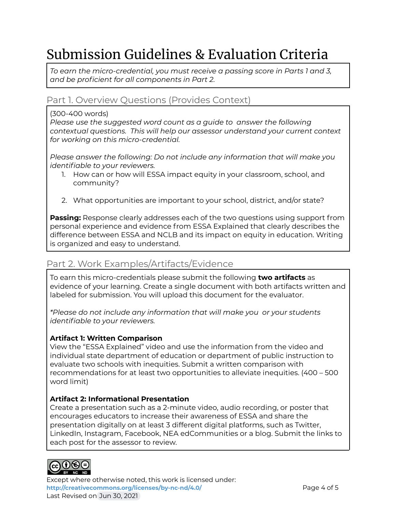# Submission Guidelines & Evaluation Criteria

*To earn the micro-credential, you must receive a passing score in Parts 1 and 3, and be proficient for all components in Part 2.*

#### Part 1. Overview Questions (Provides Context)

#### (300-400 words)

*Please use the suggested word count as a guide to answer the following contextual questions. This will help our assessor understand your current context for working on this micro-credential.*

*Please answer the following: Do not include any information that will make you identifiable to your reviewers.*

- 1. How can or how will ESSA impact equity in your classroom, school, and community?
- 2. What opportunities are important to your school, district, and/or state?

**Passing:** Response clearly addresses each of the two questions using support from personal experience and evidence from ESSA Explained that clearly describes the difference between ESSA and NCLB and its impact on equity in education. Writing is organized and easy to understand.

### Part 2. Work Examples/Artifacts/Evidence

To earn this micro-credentials please submit the following **two artifacts** as evidence of your learning. Create a single document with both artifacts written and labeled for submission. You will upload this document for the evaluator.

*\*Please do not include any information that will make you or your students identifiable to your reviewers.*

#### **Artifact 1: Written Comparison**

View the "ESSA Explained" video and use the information from the video and individual state department of education or department of public instruction to evaluate two schools with inequities. Submit a written comparison with recommendations for at least two opportunities to alleviate inequities. (400 – 500 word limit)

#### **Artifact 2: Informational Presentation**

Create a presentation such as a 2-minute video, audio recording, or poster that encourages educators to increase their awareness of ESSA and share the presentation digitally on at least 3 different digital platforms, such as Twitter, LinkedIn, Instagram, Facebook, NEA edCommunities or a blog. Submit the links to each post for the assessor to review.



Except where otherwise noted, this work is licensed under: <http://creativecommons.org/licenses/by-nc-nd/4.0/><br>
Page 4 of 5 Last Revised on Jun 30, 2021